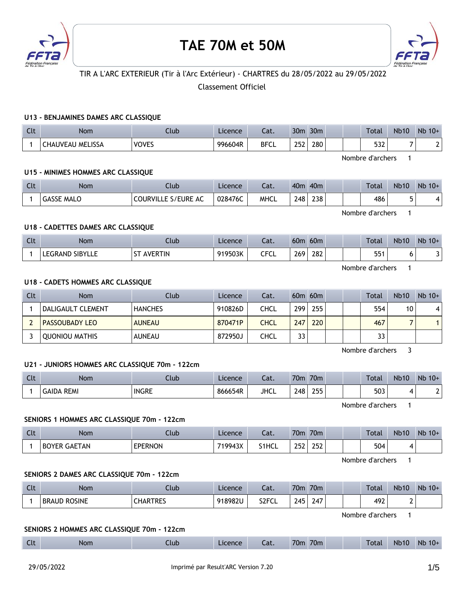

# **TAE 70M et 50M**



# TIR A L'ARC EXTERIEUR (Tir à l'Arc Extérieur) - CHARTRES du 28/05/2022 au 29/05/2022

# Classement Officiel

## **U13 - BENJAMINES DAMES ARC CLASSIQUE**

| $\sim$<br>นเ | <b>Nom</b>                          | :lub                  | Licence | - 1<br>cal. | 30 <sub>m</sub>   | 30 <sub>m</sub> |  | Total             | <b>Nb10</b> | Nb<br>$10+$ |
|--------------|-------------------------------------|-----------------------|---------|-------------|-------------------|-----------------|--|-------------------|-------------|-------------|
|              | <b><i>I</i></b> MELISSA<br>CHAUVEAU | <b>VOVES</b><br>៶ບາ∟ມ | 996604R | <b>BFCL</b> | วธา<br>ᅩJ<br>____ | 280             |  | <b>F33</b><br>عدد | -           | -           |

Nombre d'archers 1

## **U15 - MINIMES HOMMES ARC CLASSIQUE**

| $C1+$<br><b>CLL</b> | Nom           | Club                                        | Licence | Cat.        | 40 <sub>m</sub> | 40 <sub>m</sub> | Total | <b>Nb10</b> | $Nb$ 10+ |
|---------------------|---------------|---------------------------------------------|---------|-------------|-----------------|-----------------|-------|-------------|----------|
|                     | GASSE<br>MALO | le s/eure.<br><b>COURVILLL</b><br><b>AC</b> | 028476C | <b>MHCL</b> | 248             | 238             | 486   |             | 4        |

Nombre d'archers 1

# **U18 - CADETTES DAMES ARC CLASSIQUE**

| $\Gamma$<br><b>LIL</b> | Nom                              | Club          | Licence | $\sim$<br>cal. | 60 <sub>π</sub> | 60m |  | Total       | <b>Nb10</b> | <b>N<sub>b</sub></b><br>$10+$ |
|------------------------|----------------------------------|---------------|---------|----------------|-----------------|-----|--|-------------|-------------|-------------------------------|
|                        | <b>SIBYLLE</b><br><b>LEGRAND</b> | AVERTIN<br>-- | 919503K | CFCL           | 269             | 282 |  | 551<br>ו ככ |             |                               |

Nombre d'archers 1

## **U18 - CADETS HOMMES ARC CLASSIQUE**

| Clt | Nom                   | Club           | Licence | Cat.        |     | $60m$ $60m$ |  | Total | <b>Nb10</b> | $Nb$ 10+ |
|-----|-----------------------|----------------|---------|-------------|-----|-------------|--|-------|-------------|----------|
|     | DALIGAULT CLEMENT     | <b>HANCHES</b> | 910826D | CHCL        | 299 | 255         |  | 554   | 10          | 4        |
|     | <b>PASSOUBADY LEO</b> | <b>AUNEAU</b>  | 870471P | <b>CHCL</b> | 247 | 220         |  | 467   |             |          |
|     | OUONIOU MATHIS        | AUNEAU         | 872950J | CHCL        | 33  |             |  | 33    |             |          |

Nombre d'archers 3

## **U21 - JUNIORS HOMMES ARC CLASSIQUE 70m - 122cm**

| <b>Clt</b> | Nom           | Ilub         | Licence | Cat.        | 70m | 70m |  | Total | <b>Nb10</b> | Nb<br>$10+$ |
|------------|---------------|--------------|---------|-------------|-----|-----|--|-------|-------------|-------------|
|            | REMI<br>GAIDA | <b>INGRE</b> | 866654R | <b>JHCL</b> | 248 | 255 |  | 503   |             |             |

Nombre d'archers 1

#### **SENIORS 1 HOMMES ARC CLASSIQUE 70m - 122cm**

| $\Gamma$<br><b>CLL</b> | Nom                 | .lub.          | Licence | Cat.  | 70 <sub>m</sub> | 70m |  | Total | <b>Nb10</b> | Nb<br>$10+$ |
|------------------------|---------------------|----------------|---------|-------|-----------------|-----|--|-------|-------------|-------------|
|                        | <b>BOYER GAETAN</b> | <b>EPERNON</b> | 719943X | S1HCL | ว ธว<br>⊷∸      | 252 |  | 504   |             |             |

Nombre d'archers 1

# **SENIORS 2 DAMES ARC CLASSIQUE 70m - 122cm**

| <b>Clt</b> | Nom                 | Llub.           | Licence | Cat.               | 70m       | 70m |  | Total | <b>Nb10</b> | <b>Nb</b><br>$10+$ |
|------------|---------------------|-----------------|---------|--------------------|-----------|-----|--|-------|-------------|--------------------|
|            | <b>BRAUD ROSINE</b> | <b>CHARTRES</b> | 918982U | S <sub>2</sub> FCL | 245<br>-- | 247 |  | 492   |             |                    |

Nombre d'archers 1

#### **SENIORS 2 HOMMES ARC CLASSIQUE 70m - 122cm**

| Clt<br>70 <sub>m</sub><br>70 <sub>m</sub><br><b>Total</b><br><b>Nb10</b><br>Licence<br>Nom<br>Llub<br>$\sim$<br>cal. | <b>Nb</b><br>$10+$ |
|----------------------------------------------------------------------------------------------------------------------|--------------------|
|----------------------------------------------------------------------------------------------------------------------|--------------------|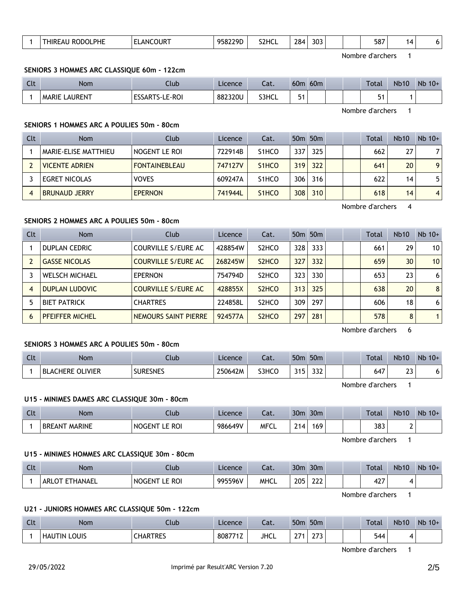| PHE<br>$\cdots$<br>___ | .OUR '<br>ΔN(<br>,,,,<br>$\sim$ $\sim$ | 958229D | S <sub>2</sub> HCL | 284<br>__ | 303 |  | 587 |  |  |
|------------------------|----------------------------------------|---------|--------------------|-----------|-----|--|-----|--|--|
|                        |                                        |         |                    |           |     |  |     |  |  |

Nombre d'archers 1

#### **SENIORS 3 HOMMES ARC CLASSIQUE 60m - 122cm**

| $C1+$<br><b>CU</b> | <b>Nom</b>           | Jlub                                 | Licence | ำ<br>-al. | 60 <sub>m</sub> | 60 <sub>m</sub> |  | <b>Total</b> | <b>Nb10</b> | $Nb$ 10+ |
|--------------------|----------------------|--------------------------------------|---------|-----------|-----------------|-----------------|--|--------------|-------------|----------|
|                    | <b>MARIE LAURENT</b> | <b>ESSARTS</b><br>LE-ROI<br>'''S-L∟∶ | 882320U | S3HCL     |                 |                 |  |              |             |          |

Nombre d'archers 1

## **SENIORS 1 HOMMES ARC A POULIES 50m - 80cm**

| <b>Clt</b> | <b>Nom</b>            | Club                 | Licence | Cat.               |     | 50 <sub>m</sub> 50 <sub>m</sub> |  | Total | <b>Nb10</b> | $Nb$ 10+       |
|------------|-----------------------|----------------------|---------|--------------------|-----|---------------------------------|--|-------|-------------|----------------|
|            | MARIE-ELISE MATTHIEU  | NOGENT LE ROI        | 722914B | S <sub>1</sub> HCO | 337 | 325                             |  | 662   | 27          | 7              |
|            | <b>VICENTE ADRIEN</b> | <b>FONTAINEBLEAU</b> | 747127V | S <sub>1</sub> HCO | 319 | 322                             |  | 641   | 20          | 9              |
|            | <b>EGRET NICOLAS</b>  | <b>VOVES</b>         | 609247A | S <sub>1</sub> HCO | 306 | 316                             |  | 622   | 14          | 5.             |
|            | <b>BRUNAUD JERRY</b>  | <b>EPERNON</b>       | 741944L | S <sub>1</sub> HCO | 308 | 310                             |  | 618   | 14          | $\overline{4}$ |

Nombre d'archers 4

## **SENIORS 2 HOMMES ARC A POULIES 50m - 80cm**

| Clt | <b>Nom</b>             | Club                       | Licence | Cat.                           |       | 50 <sub>m</sub> 50 <sub>m</sub> |  | Total | <b>Nb10</b> | $Nb$ 10+        |
|-----|------------------------|----------------------------|---------|--------------------------------|-------|---------------------------------|--|-------|-------------|-----------------|
|     | <b>DUPLAN CEDRIC</b>   | COURVILLE S/EURE AC        | 428854W | S <sub>2</sub> HCO             | 328   | 333                             |  | 661   | 29          | 10 <sup>1</sup> |
|     | <b>GASSE NICOLAS</b>   | <b>COURVILLE S/EURE AC</b> | 268245W | S <sub>2</sub> H <sub>CO</sub> | 327   | 332                             |  | 659   | 30          | 10 <sup>1</sup> |
|     | <b>WELSCH MICHAEL</b>  | <b>EPERNON</b>             | 754794D | S <sub>2</sub> HCO             | 323 l | 330                             |  | 653   | 23          | 6 <sup>1</sup>  |
|     | <b>DUPLAN LUDOVIC</b>  | <b>COURVILLE S/EURE AC</b> | 428855X | S <sub>2</sub> H <sub>CO</sub> | 313   | 325                             |  | 638   | 20          | 8 <sup>1</sup>  |
|     | <b>BIET PATRICK</b>    | <b>CHARTRES</b>            | 224858L | S <sub>2</sub> HCO             | 309   | 297                             |  | 606   | 18          | 6 <sup>1</sup>  |
| 6   | <b>PFEIFFER MICHEL</b> | NEMOURS SAINT PIERRE       | 924577A | S <sub>2</sub> H <sub>CO</sub> | 297   | 281                             |  | 578   | 8           |                 |

Nombre d'archers 6

## **SENIORS 3 HOMMES ARC A POULIES 50m - 80cm**

| $C1+$<br>. | <b>Nom</b>                       | Llub            | Licence | $\sim$<br>cal. | 50 <sub>m</sub> | 50 <sub>m</sub> |  | <b>Total</b> | <b>Nb10</b>   | Nb<br>$10+$ |
|------------|----------------------------------|-----------------|---------|----------------|-----------------|-----------------|--|--------------|---------------|-------------|
|            | <b>OLIVIER</b><br>`HERE<br>BLACI | <b>SURESNES</b> | 250642M | S3HCO          | 24E             | $\sim$<br>ےدد   |  | 647          | $\sim$<br>ر _ | 6           |

Nombre d'archers 1

### **U15 - MINIMES DAMES ARC CLASSIQUE 30m - 80cm**

| Clt | Nom                            | Jlub                       | ∟icence | $\sim$<br>-al. | 30 <sub>m</sub>              | 30 <sub>m</sub> |  | Total | <b>Nb10</b> | <b>Nb</b><br>$10+$ |
|-----|--------------------------------|----------------------------|---------|----------------|------------------------------|-----------------|--|-------|-------------|--------------------|
|     | <b>MARINE</b><br><b>BREANT</b> | <b>ROI</b><br><b>NOGEN</b> | 986649V | <b>MFCL</b>    | $^{\circ}$<br>ıд<br><u>_</u> | 169             |  | 383   | -           |                    |

Nombre d'archers 1

#### **U15 - MINIMES HOMMES ARC CLASSIQUE 30m - 80cm**

| <b>Clt</b> | Nom                      | -lub                             | Licence | $\sim$<br>cal. | 30 <sub>m</sub> | 30 <sub>m</sub> |  | Total       | <b>Nb10</b> | Nb<br>$10+$ |
|------------|--------------------------|----------------------------------|---------|----------------|-----------------|-----------------|--|-------------|-------------|-------------|
|            | <b>FTHANAEL</b><br>ARLOT | <b>ROI</b><br>NOGEN <sup>-</sup> | 995596V | <b>MHCL</b>    | 205             | $\sim$<br>LLL   |  | 107<br>− ∠. |             |             |

Nombre d'archers 1

#### **U21 - JUNIORS HOMMES ARC CLASSIQUE 50m - 122cm**

| $\Gamma$<br><b>UU</b> | Nom                 | Ilub            | Licence | $-1$<br>cal. | 50 <sub>m</sub> | 50 <sub>m</sub>      |  | Total | <b>Nb10</b> | Nb<br>$10+$ |
|-----------------------|---------------------|-----------------|---------|--------------|-----------------|----------------------|--|-------|-------------|-------------|
|                       | <b>HAUTIN LOUIS</b> | <b>CHARTRES</b> | 808771Z | <b>JHCL</b>  | 274             | $\sim$ $\sim$ $\sim$ |  | 544   |             |             |

Nombre d'archers 1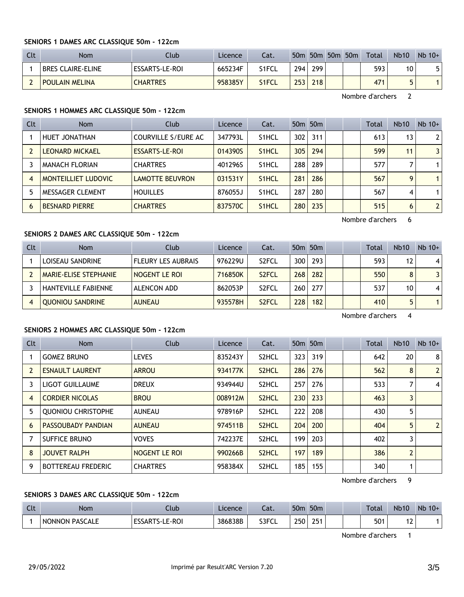## **SENIORS 1 DAMES ARC CLASSIQUE 50m - 122cm**

| Clt | Nom                   | Club            | Licence | Cat.  |     |     | 50m 50m 50m 50m | Total | <b>Nb10</b> | $Nb$ 10+ |
|-----|-----------------------|-----------------|---------|-------|-----|-----|-----------------|-------|-------------|----------|
|     | BRES CLAIRE-ELINE     | ESSARTS-LE-ROI  | 665234F | S1FCL | 294 | 299 |                 | 593   | 10          |          |
|     | <b>POULAIN MELINA</b> | <b>CHARTRES</b> | 958385Y | S1FCL | 253 | 218 |                 | 471   |             |          |

Nombre d'archers 2

# **SENIORS 1 HOMMES ARC CLASSIQUE 50m - 122cm**

| Clt            | <b>Nom</b>             | Club                   | <b>Licence</b> | Cat.               |     | 50 <sub>m</sub> 50 <sub>m</sub> |  | Total | <b>Nb10</b>     | $Nb$ 10+       |
|----------------|------------------------|------------------------|----------------|--------------------|-----|---------------------------------|--|-------|-----------------|----------------|
|                | HUET JONATHAN          | COURVILLE S/EURE AC    | 347793L        | S <sub>1</sub> HCL | 302 | 311                             |  | 613   | 13 <sub>1</sub> | 2 <sup>1</sup> |
|                | <b>LEONARD MICKAEL</b> | ESSARTS-LE-ROI         | 014390S        | S <sub>1</sub> HCL | 305 | 294                             |  | 599   | 11              | 31             |
|                | <b>MANACH FLORIAN</b>  | <b>CHARTRES</b>        | 401296S        | S <sub>1</sub> HCL | 288 | 289                             |  | 577   |                 |                |
| $\overline{4}$ | MONTEILLIET LUDOVIC    | <b>LAMOTTE BEUVRON</b> | 031531Y        | S <sub>1</sub> HCL | 281 | 286                             |  | 567   | 9               |                |
|                | MESSAGER CLEMENT       | <b>HOUILLES</b>        | 876055J        | S <sub>1</sub> HCL | 287 | 280                             |  | 567   | 4               |                |
| 6              | <b>BESNARD PIERRE</b>  | <b>CHARTRES</b>        | 837570C        | S <sub>1</sub> HCL | 280 | 235                             |  | 515   | 6               | 2 <sup>1</sup> |

Nombre d'archers 6

# **SENIORS 2 DAMES ARC CLASSIQUE 50m - 122cm**

| Clt | <b>Nom</b>                 | Club                      | Licence | Cat.               |     | 50 <sub>m</sub> 50 <sub>m</sub> |  | Total | <b>Nb10</b>       | $Nb$ 10+ |
|-----|----------------------------|---------------------------|---------|--------------------|-----|---------------------------------|--|-------|-------------------|----------|
|     | LOISEAU SANDRINE           | <b>FLEURY LES AUBRAIS</b> | 976229U | S <sub>2</sub> FCL | 300 | 293                             |  | 593   | $12 \overline{ }$ |          |
|     | MARIE-ELISE STEPHANIE      | NOGENT LE ROI             | 716850K | S <sub>2</sub> FCL | 268 | 282                             |  | 550   | 8                 | 31       |
|     | <b>HANTEVILLE FABIENNE</b> | ALENCON ADD               | 862053P | S <sub>2</sub> FCL | 260 | 277                             |  | 537   | 10                | 4        |
|     | <b>QUONIOU SANDRINE</b>    | <b>AUNEAU</b>             | 935578H | S <sub>2</sub> FCL | 228 | 182                             |  | 410   | 5                 |          |

Nombre d'archers 4

# **SENIORS 2 HOMMES ARC CLASSIQUE 50m - 122cm**

| Clt | <b>Nom</b>                | Club            | Licence | Cat.               |     | 50 <sub>m</sub> 50 <sub>m</sub> |  | <b>Total</b> | <b>Nb10</b>    | $Nb$ 10+       |
|-----|---------------------------|-----------------|---------|--------------------|-----|---------------------------------|--|--------------|----------------|----------------|
|     | <b>GOMEZ BRUNO</b>        | <b>LEVES</b>    | 835243Y | S <sub>2</sub> HCL | 323 | 319                             |  | 642          | 20             | 8 <sup>1</sup> |
|     | <b>ESNAULT LAURENT</b>    | <b>ARROU</b>    | 934177K | S <sub>2</sub> HCL | 286 | 276                             |  | 562          | 8              | 2 <sup>1</sup> |
| 3   | LIGOT GUILLAUME           | <b>DREUX</b>    | 934944U | S <sub>2</sub> HCL | 257 | 276                             |  | 533          | 7              | $\vert$ 4      |
| 4   | <b>CORDIER NICOLAS</b>    | <b>BROU</b>     | 008912M | S <sub>2</sub> HCL | 230 | 233                             |  | 463          | 3              |                |
| 5   | <b>OUONIOU CHRISTOPHE</b> | <b>AUNEAU</b>   | 978916P | S <sub>2</sub> HCL | 222 | 208                             |  | 430          | 5              |                |
| 6   | <b>PASSOUBADY PANDIAN</b> | <b>AUNEAU</b>   | 974511B | S <sub>2</sub> HCL | 204 | 200                             |  | 404          | 5              | 2 <sup>1</sup> |
|     | <b>SUFFICE BRUNO</b>      | <b>VOVES</b>    | 742237E | S <sub>2</sub> HCL | 199 | 203                             |  | 402          | 3              |                |
| 8   | <b>JOUVET RALPH</b>       | NOGENT LE ROI   | 990266B | S <sub>2</sub> HCL | 197 | 189                             |  | 386          | $\overline{2}$ |                |
| 9   | <b>BOTTEREAU FREDERIC</b> | <b>CHARTRES</b> | 958384X | S <sub>2</sub> HCL | 185 | 155                             |  | 340          | 1              |                |

Nombre d'archers 9

# **SENIORS 3 DAMES ARC CLASSIQUE 50m - 122cm**

| C14<br>بالما | <b>Nom</b>            | Jub                           | Licence | $\sim$<br>cal. | 50 <sub>m</sub> | 50 <sub>m</sub> |  | Total | <b>Nb10</b> | <b>Nb</b><br>$10+$ |
|--------------|-----------------------|-------------------------------|---------|----------------|-----------------|-----------------|--|-------|-------------|--------------------|
|              | <b>NONNON PASCALE</b> | E-ROI<br>ESSARTS.<br>∼-∗<br>ᅩ | 386838B | S3FCL          | 250<br>້        | <b>OF</b>       |  | 501   | ' 4         |                    |

Nombre d'archers 1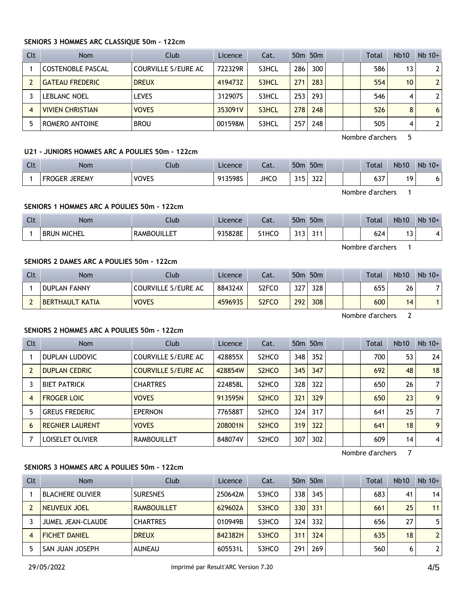## **SENIORS 3 HOMMES ARC CLASSIQUE 50m - 122cm**

| Clt | <b>Nom</b>               | Club                | Licence | Cat.  |     | 50 <sub>m</sub> 50 <sub>m</sub> |  | Total | <b>Nb10</b>     | $Nb$ 10+       |
|-----|--------------------------|---------------------|---------|-------|-----|---------------------------------|--|-------|-----------------|----------------|
|     | <b>COSTENOBLE PASCAL</b> | COURVILLE S/EURE AC | 722329R | S3HCL | 286 | 300                             |  | 586   | 13              | $\overline{2}$ |
|     | <b>GATEAU FREDERIC</b>   | <b>DREUX</b>        | 419473Z | S3HCL | 271 | 283                             |  | 554   | 10 <sup>°</sup> | $\overline{2}$ |
|     | <b>LEBLANC NOEL</b>      | <b>LEVES</b>        | 312907S | S3HCL | 253 | 293                             |  | 546   | 4               | 2              |
| 4   | <b>VIVIEN CHRISTIAN</b>  | <b>VOVES</b>        | 353091V | S3HCL | 278 | 248                             |  | 526   | 8               | 6              |
|     | ROMERO ANTOINE           | <b>BROU</b>         | 001598M | S3HCL | 257 | 248                             |  | 505   | 4               | 2              |

Nombre d'archers 5

# **U21 - JUNIORS HOMMES ARC A POULIES 50m - 122cm**

| $\sim$<br>นเ | Nom                            | Club         | Licence | $-1$<br>-al. | 50 <sub>m</sub> | 50 <sub>m</sub>      |  | Total         | <b>Nb10</b> | Nb<br>$10+$ |
|--------------|--------------------------------|--------------|---------|--------------|-----------------|----------------------|--|---------------|-------------|-------------|
|              | <b>JEREMY</b><br><b>FROGER</b> | <b>VOVES</b> | 913598S | <b>JHCC</b>  | つイに<br>J        | $\mathcal{L}$<br>عدد |  | $\sim$<br>גט. | ៱           | 6           |

Nombre d'archers 1

# **SENIORS 1 HOMMES ARC A POULIES 50m - 122cm**

| 624<br>935828E<br>S <sub>1</sub> HCO<br>744<br>. .<br>--<br><b>242</b><br><b>MICHEL</b><br><b>RAMBOUILLE</b><br><b>BRUN</b><br><u>JIJ</u><br>. . |  |
|--------------------------------------------------------------------------------------------------------------------------------------------------|--|

Nombre d'archers 1

# **SENIORS 2 DAMES ARC A POULIES 50m - 122cm**

| Clt | <b>Nom</b>             | Club                | Licence | Cat.               | 50 <sub>m</sub> | 50 <sub>m</sub> |  | <b>Total</b> | <b>Nb10</b> | $Nb$ 10+ |
|-----|------------------------|---------------------|---------|--------------------|-----------------|-----------------|--|--------------|-------------|----------|
|     | <b>DUPLAN FANNY</b>    | COURVILLE S/EURE AC | 884324X | S2FCO              | 327             | 328             |  | 655          | 26          |          |
|     | <b>BERTHAULT KATIA</b> | <b>VOVES</b>        | 459693S | S <sub>2</sub> FCO | 292             | 308             |  | 600          | 14          |          |

Nombre d'archers 2

# **SENIORS 2 HOMMES ARC A POULIES 50m - 122cm**

| <b>Clt</b> | <b>Nom</b>             | Club                       | Licence | Cat.                           |     | 50 <sub>m</sub> 50 <sub>m</sub> |  | <b>Total</b> | <b>Nb10</b> | $Nb$ 10+       |
|------------|------------------------|----------------------------|---------|--------------------------------|-----|---------------------------------|--|--------------|-------------|----------------|
|            | DUPLAN LUDOVIC         | COURVILLE S/EURE AC        | 428855X | S <sub>2</sub> HCO             | 348 | 352                             |  | 700          | 53          | 24             |
|            | <b>DUPLAN CEDRIC</b>   | <b>COURVILLE S/EURE AC</b> | 428854W | S <sub>2</sub> HC <sub>O</sub> | 345 | 347                             |  | 692          | 48          | 18             |
|            | <b>BIET PATRICK</b>    | <b>CHARTRES</b>            | 224858L | S <sub>2</sub> HCO             | 328 | 322                             |  | 650          | 26          | 7 <sup>1</sup> |
| 4          | <b>FROGER LOIC</b>     | <b>VOVES</b>               | 913595N | S <sub>2</sub> H <sub>CO</sub> | 321 | 329                             |  | 650          | 23          | 9 <sup>1</sup> |
|            | <b>GREUS FREDERIC</b>  | <b>EPERNON</b>             | 776588T | S <sub>2</sub> HCO             | 324 | 317                             |  | 641          | 25          | 7              |
| 6          | <b>REGNIER LAURENT</b> | <b>VOVES</b>               | 208001N | S <sub>2</sub> H <sub>CO</sub> | 319 | 322                             |  | 641          | 18          | 9 <sup>1</sup> |
|            | LOISELET OLIVIER       | <b>RAMBOUILLET</b>         | 848074V | S <sub>2</sub> HCO             | 307 | 302                             |  | 609          | 14          | $\vert$        |

Nombre d'archers 7

# **SENIORS 3 HOMMES ARC A POULIES 50m - 122cm**

| Clt | <b>Nom</b>               | Club               | Licence | Cat.  |                  | 50 <sub>m</sub> 50 <sub>m</sub> |  | Total | <b>Nb10</b> | $Nb$ 10+     |
|-----|--------------------------|--------------------|---------|-------|------------------|---------------------------------|--|-------|-------------|--------------|
|     | <b>BLACHERE OLIVIER</b>  | <b>SURESNES</b>    | 250642M | S3HCO | 338              | 345                             |  | 683   | 41          | 14           |
|     | NEUVEUX JOEL             | <b>RAMBOUILLET</b> | 629602A | S3HCO | 330 <sup>1</sup> | 331                             |  | 661   | 25          | 11           |
|     | <b>JUMEL JEAN-CLAUDE</b> | <b>CHARTRES</b>    | 010949B | S3HCO | 324 <sub>1</sub> | 332                             |  | 656   | 27          | 5.           |
| 4   | <b>FICHET DANIEL</b>     | <b>DREUX</b>       | 842382H | S3HCO | 311              | 324                             |  | 635   | 18          | $\mathbf{2}$ |
|     | SAN JUAN JOSEPH          | <b>AUNEAU</b>      | 605531L | S3HCO | 291              | 269                             |  | 560   | 6           | 2            |